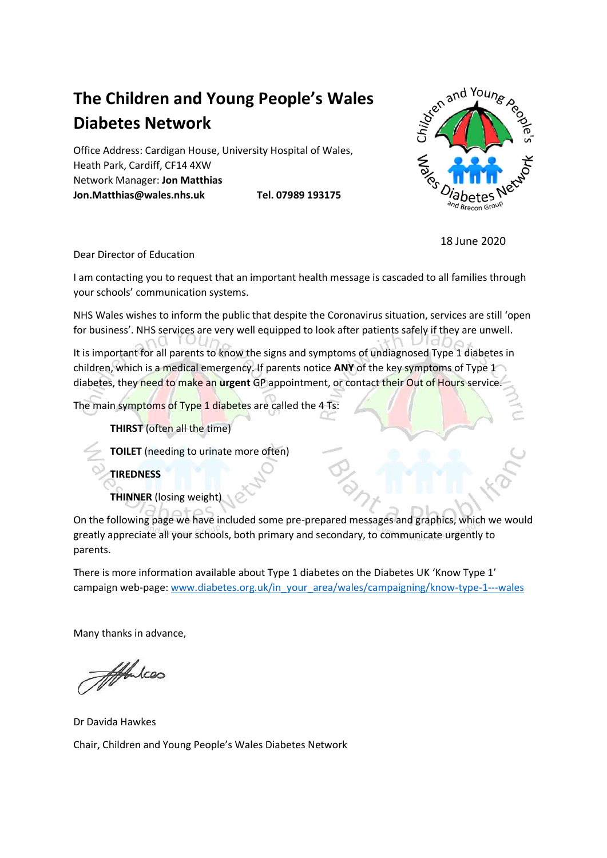## **The Children and Young People's Wales Diabetes Network**

Office Address: Cardigan House, University Hospital of Wales, Heath Park, Cardiff, CF14 4XW Network Manager: **Jon Matthias Jon.Matthias@wales.nhs.uk Tel. 07989 193175**



18 June 2020

Dear Director of Education

I am contacting you to request that an important health message is cascaded to all families through your schools' communication systems.

NHS Wales wishes to inform the public that despite the Coronavirus situation, services are still 'open for business'. NHS services are very well equipped to look after patients safely if they are unwell.

It is important for all parents to know the signs and symptoms of undiagnosed Type 1 diabetes in children, which is a medical emergency. If parents notice **ANY** of the key symptoms of Type 1 diabetes, they need to make an **urgent** GP appointment, or contact their Out of Hours service.

The main symptoms of Type 1 diabetes are called the 4 Ts:

**THIRST** (often all the time)

**TOILET** (needing to urinate more often)

**TIREDNESS**

**THINNER** (losing weight)

On the following page we have included some pre-prepared messages and graphics, which we would greatly appreciate all your schools, both primary and secondary, to communicate urgently to parents.

There is more information available about Type 1 diabetes on the Diabetes UK 'Know Type 1' campaign web-page[: www.diabetes.org.uk/in\\_your\\_area/wales/campaigning/know-type-1---wales](https://www.diabetes.org.uk/in_your_area/wales/campaigning/know-type-1---wales)

Many thanks in advance,

Affairces

Dr Davida Hawkes Chair, Children and Young People's Wales Diabetes Network